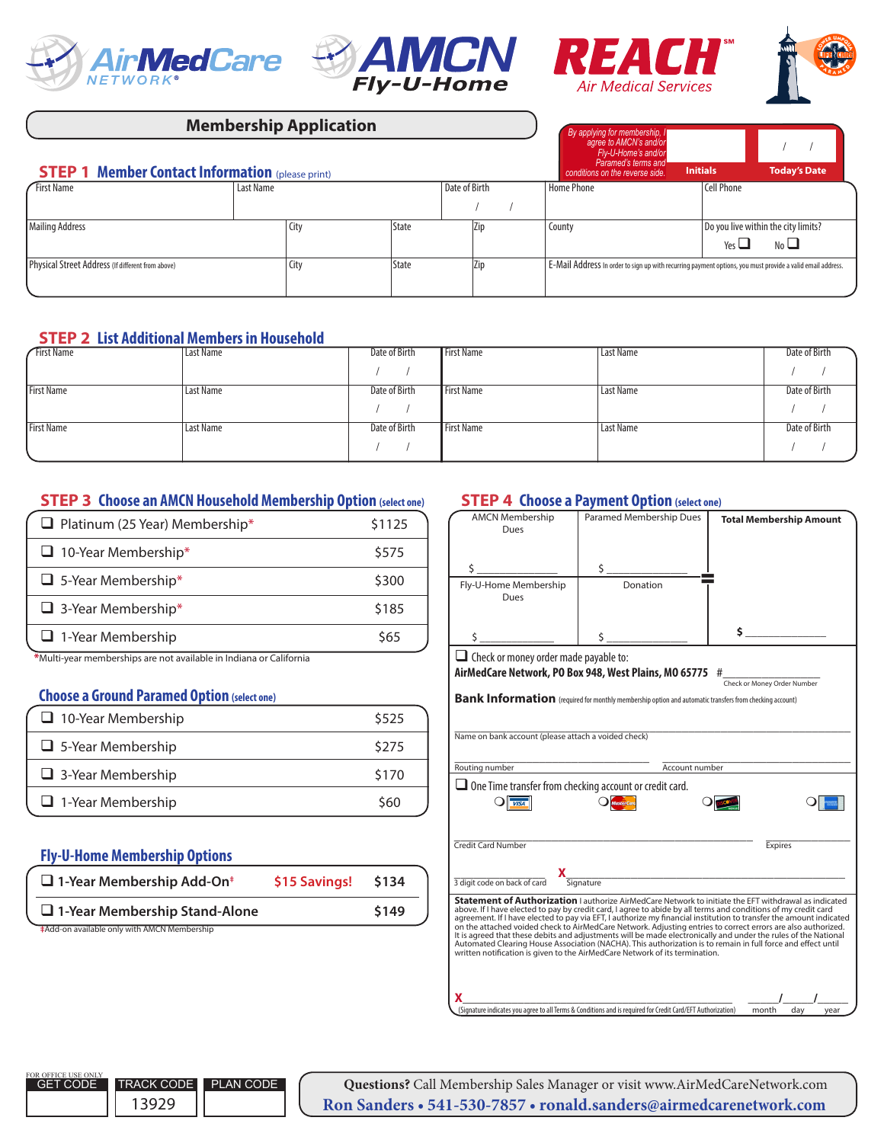







| <b>Membership Application</b>                           |           |      |              |  | By applying for membership, I<br>agree to AMCN's and/or |                 |                                                                                                              |            |                                     |
|---------------------------------------------------------|-----------|------|--------------|--|---------------------------------------------------------|-----------------|--------------------------------------------------------------------------------------------------------------|------------|-------------------------------------|
|                                                         |           |      |              |  |                                                         |                 | Fly-U-Home's and/or                                                                                          |            |                                     |
| <b>STEP 1 Member Contact Information (please print)</b> |           |      |              |  | Paramed's terms and<br>conditions on the reverse side.  | <b>Initials</b> | <b>Today's Date</b>                                                                                          |            |                                     |
| <b>First Name</b>                                       | Last Name |      |              |  | Date of Birth                                           |                 | <b>Home Phone</b>                                                                                            | Cell Phone |                                     |
|                                                         |           |      |              |  |                                                         |                 |                                                                                                              |            |                                     |
| <b>Mailing Address</b>                                  |           | City | <b>State</b> |  | Zip                                                     |                 | County                                                                                                       |            | Do you live within the city limits? |
|                                                         |           |      |              |  |                                                         |                 |                                                                                                              | Yes $\Box$ | No $\Box$                           |
| Physical Street Address (If different from above)       |           | City | <b>State</b> |  | Zip                                                     |                 | . E-Mail Address In order to sign up with recurring payment options, you must provide a valid email address. |            |                                     |
|                                                         |           |      |              |  |                                                         |                 |                                                                                                              |            |                                     |

### **STEP 2 List Additional Members in Household**

| <b>First Name</b> | Last Name | Date of Birth | <b>First Name</b> | Last Name        | Date of Birth |
|-------------------|-----------|---------------|-------------------|------------------|---------------|
|                   |           |               |                   |                  |               |
| <b>First Name</b> | Last Name | Date of Birth | <b>First Name</b> | Last Name        | Date of Birth |
|                   |           |               |                   |                  |               |
| <b>First Name</b> | Last Name | Date of Birth | <b>First Name</b> | <b>Last Name</b> | Date of Birth |
|                   |           |               |                   |                  |               |

# **STEP 3 Choose an AMCN Household Membership Option (select one)**

| $\Box$ Platinum (25 Year) Membership*                                                             | \$1125 |
|---------------------------------------------------------------------------------------------------|--------|
| $\Box$ 10-Year Membership*                                                                        | \$575  |
| $\Box$ 5-Year Membership*                                                                         | \$300  |
| $\Box$ 3-Year Membership*                                                                         | \$185  |
| $\Box$ 1-Year Membership                                                                          | \$65   |
| بمقاومته كقاله كالمتراج بمستقله والمسالم والمالحين والمستحدث والمستقل والمستحدث ومستقلة والمناقبة |        |

**\***Multi-year memberships are not available in Indiana or California

#### **Choose a Ground Paramed Option (select one)**

| $\Box$ 10-Year Membership | \$525 |
|---------------------------|-------|
| $\Box$ 5-Year Membership  | \$275 |
| $\Box$ 3-Year Membership  | \$170 |
| $\Box$ 1-Year Membership  | \$60  |

## **Fly-U-Home Membership Options**

| $\Box$ 1-Year Membership Add-On <sup>#</sup> | \$15 Savings! | \$134 |
|----------------------------------------------|---------------|-------|
| $\Box$ 1-Year Membership Stand-Alone         |               | \$149 |
| #Add-on available only with AMCN Membership  |               |       |

#### **STEP 4 Choose a Payment Option (select one)**

| <b>AMCN Membership</b><br>Dues                                                                      | Paramed Membership Dues                                                                                                                                                                       | <b>Total Membership Amount</b>                                                                                                                                                                                                                                                                                                                                                                                                                                                                                                                                                      |
|-----------------------------------------------------------------------------------------------------|-----------------------------------------------------------------------------------------------------------------------------------------------------------------------------------------------|-------------------------------------------------------------------------------------------------------------------------------------------------------------------------------------------------------------------------------------------------------------------------------------------------------------------------------------------------------------------------------------------------------------------------------------------------------------------------------------------------------------------------------------------------------------------------------------|
| Ś                                                                                                   | \$                                                                                                                                                                                            |                                                                                                                                                                                                                                                                                                                                                                                                                                                                                                                                                                                     |
| Fly-U-Home Membership<br>Dues                                                                       | Donation                                                                                                                                                                                      |                                                                                                                                                                                                                                                                                                                                                                                                                                                                                                                                                                                     |
| \$.                                                                                                 |                                                                                                                                                                                               | Ś.                                                                                                                                                                                                                                                                                                                                                                                                                                                                                                                                                                                  |
| $\Box$ Check or money order made payable to:<br>Name on bank account (please attach a voided check) | AirMedCare Network, PO Box 948, West Plains, MO 65775 #<br>Bank Information (required for monthly membership option and automatic transfers from checking account)                            | Check or Money Order Number                                                                                                                                                                                                                                                                                                                                                                                                                                                                                                                                                         |
| Routing number                                                                                      | Account number                                                                                                                                                                                |                                                                                                                                                                                                                                                                                                                                                                                                                                                                                                                                                                                     |
| $\Box$ One Time transfer from checking account or credit card.<br><b>VISA</b>                       |                                                                                                                                                                                               |                                                                                                                                                                                                                                                                                                                                                                                                                                                                                                                                                                                     |
| <b>Credit Card Number</b>                                                                           |                                                                                                                                                                                               | <b>Expires</b>                                                                                                                                                                                                                                                                                                                                                                                                                                                                                                                                                                      |
| 3 digit code on back of card                                                                        | -<br>Signature<br>Signature                                                                                                                                                                   |                                                                                                                                                                                                                                                                                                                                                                                                                                                                                                                                                                                     |
|                                                                                                     | above. If I have elected to pay by credit card, I agree to abide by all terms and conditions of my credit card<br>written notification is given to the AirMedCare Network of its termination. | <b>Statement of Authorization</b> Lauthorize AirMedCare Network to initiate the EFT withdrawal as indicated<br>agreement. If I have elected to pay via EFT, I authorize my financial institution to transfer the amount indicated<br>on the attached voided check to AirMedCare Network. Adjusting entries to correct errors are also authorized.<br>It is agreed that these debits and adjustments will be made electronically and under the rules of the National<br>Automated Clearing House Association (NACHA). This authorization is to remain in full force and effect until |
|                                                                                                     | (Signature indicates you agree to all Terms & Conditions and is required for Credit Card/EFT Authorization)                                                                                   | month<br>dav<br>vear                                                                                                                                                                                                                                                                                                                                                                                                                                                                                                                                                                |

**Questions?** Call Membership Sales Manager or visit www.AirMedCareNetwork.com **Ron Sanders • 541-530-7857 • ronald.sanders@airmedcarenetwork.com**